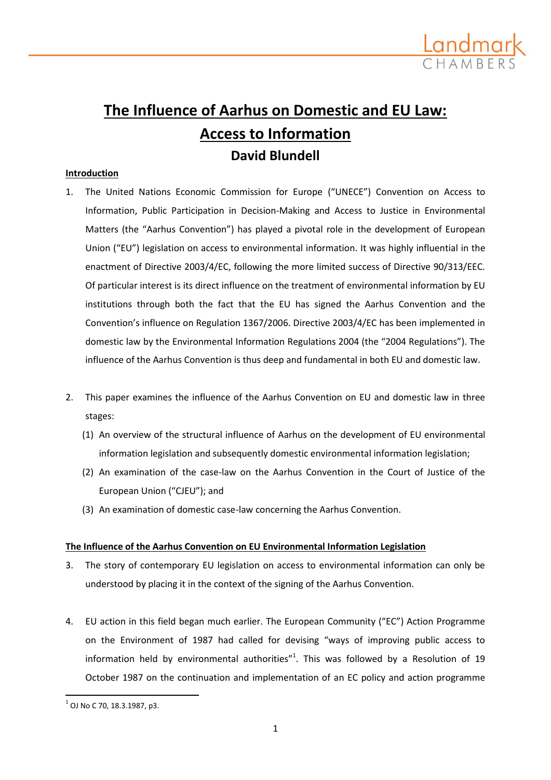

# **The Influence of Aarhus on Domestic and EU Law: Access to Information David Blundell**

# **Introduction**

- 1. The United Nations Economic Commission for Europe ("UNECE") Convention on Access to Information, Public Participation in Decision-Making and Access to Justice in Environmental Matters (the "Aarhus Convention") has played a pivotal role in the development of European Union ("EU") legislation on access to environmental information. It was highly influential in the enactment of Directive 2003/4/EC, following the more limited success of Directive 90/313/EEC. Of particular interest is its direct influence on the treatment of environmental information by EU institutions through both the fact that the EU has signed the Aarhus Convention and the Convention's influence on Regulation 1367/2006. Directive 2003/4/EC has been implemented in domestic law by the Environmental Information Regulations 2004 (the "2004 Regulations"). The influence of the Aarhus Convention is thus deep and fundamental in both EU and domestic law.
- 2. This paper examines the influence of the Aarhus Convention on EU and domestic law in three stages:
	- (1) An overview of the structural influence of Aarhus on the development of EU environmental information legislation and subsequently domestic environmental information legislation;
	- (2) An examination of the case-law on the Aarhus Convention in the Court of Justice of the European Union ("CJEU"); and
	- (3) An examination of domestic case-law concerning the Aarhus Convention.

## **The Influence of the Aarhus Convention on EU Environmental Information Legislation**

- 3. The story of contemporary EU legislation on access to environmental information can only be understood by placing it in the context of the signing of the Aarhus Convention.
- 4. EU action in this field began much earlier. The European Community ("EC") Action Programme on the Environment of 1987 had called for devising "ways of improving public access to information held by environmental authorities"<sup>1</sup>. This was followed by a Resolution of 19 October 1987 on the continuation and implementation of an EC policy and action programme

 $^{\rm 1}$  OJ No C 70, 18.3.1987, p3.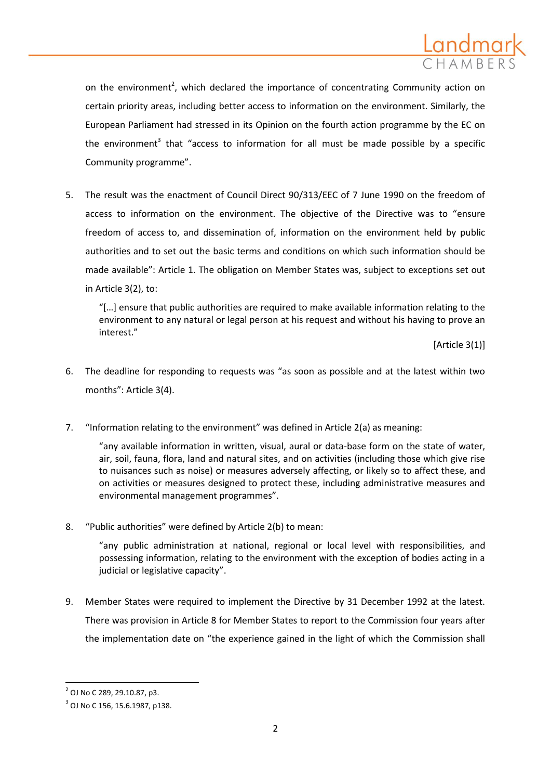

on the environment<sup>2</sup>, which declared the importance of concentrating Community action on certain priority areas, including better access to information on the environment. Similarly, the European Parliament had stressed in its Opinion on the fourth action programme by the EC on the environment<sup>3</sup> that "access to information for all must be made possible by a specific Community programme".

5. The result was the enactment of Council Direct 90/313/EEC of 7 June 1990 on the freedom of access to information on the environment. The objective of the Directive was to "ensure freedom of access to, and dissemination of, information on the environment held by public authorities and to set out the basic terms and conditions on which such information should be made available": Article 1. The obligation on Member States was, subject to exceptions set out in Article 3(2), to:

"[…] ensure that public authorities are required to make available information relating to the environment to any natural or legal person at his request and without his having to prove an interest."

[Article 3(1)]

- 6. The deadline for responding to requests was "as soon as possible and at the latest within two months": Article 3(4).
- 7. "Information relating to the environment" was defined in Article 2(a) as meaning:

"any available information in written, visual, aural or data-base form on the state of water, air, soil, fauna, flora, land and natural sites, and on activities (including those which give rise to nuisances such as noise) or measures adversely affecting, or likely so to affect these, and on activities or measures designed to protect these, including administrative measures and environmental management programmes".

8. "Public authorities" were defined by Article 2(b) to mean:

"any public administration at national, regional or local level with responsibilities, and possessing information, relating to the environment with the exception of bodies acting in a judicial or legislative capacity".

9. Member States were required to implement the Directive by 31 December 1992 at the latest. There was provision in Article 8 for Member States to report to the Commission four years after the implementation date on "the experience gained in the light of which the Commission shall

<sup>2</sup> OJ No C 289, 29.10.87, p3.

 $^3$  OJ No C 156, 15.6.1987, p138.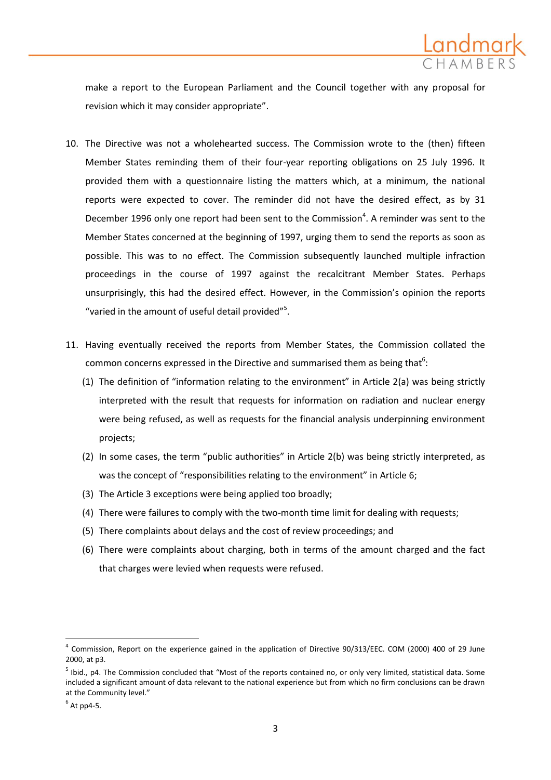

make a report to the European Parliament and the Council together with any proposal for revision which it may consider appropriate".

- 10. The Directive was not a wholehearted success. The Commission wrote to the (then) fifteen Member States reminding them of their four-year reporting obligations on 25 July 1996. It provided them with a questionnaire listing the matters which, at a minimum, the national reports were expected to cover. The reminder did not have the desired effect, as by 31 December 1996 only one report had been sent to the Commission<sup>4</sup>. A reminder was sent to the Member States concerned at the beginning of 1997, urging them to send the reports as soon as possible. This was to no effect. The Commission subsequently launched multiple infraction proceedings in the course of 1997 against the recalcitrant Member States. Perhaps unsurprisingly, this had the desired effect. However, in the Commission's opinion the reports "varied in the amount of useful detail provided"<sup>5</sup>.
- 11. Having eventually received the reports from Member States, the Commission collated the common concerns expressed in the Directive and summarised them as being that<sup>6</sup>:
	- (1) The definition of "information relating to the environment" in Article 2(a) was being strictly interpreted with the result that requests for information on radiation and nuclear energy were being refused, as well as requests for the financial analysis underpinning environment projects;
	- (2) In some cases, the term "public authorities" in Article 2(b) was being strictly interpreted, as was the concept of "responsibilities relating to the environment" in Article 6;
	- (3) The Article 3 exceptions were being applied too broadly;
	- (4) There were failures to comply with the two-month time limit for dealing with requests;
	- (5) There complaints about delays and the cost of review proceedings; and
	- (6) There were complaints about charging, both in terms of the amount charged and the fact that charges were levied when requests were refused.

<sup>&</sup>lt;sup>4</sup> Commission, Report on the experience gained in the application of Directive 90/313/EEC. COM (2000) 400 of 29 June 2000, at p3.

<sup>&</sup>lt;sup>5</sup> Ibid., p4. The Commission concluded that "Most of the reports contained no, or only very limited, statistical data. Some included a significant amount of data relevant to the national experience but from which no firm conclusions can be drawn at the Community level."

 $^6$  At pp4-5.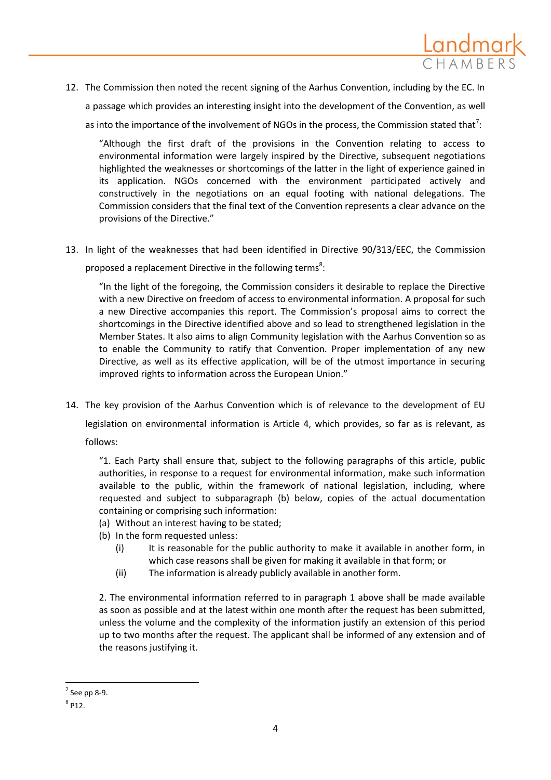

12. The Commission then noted the recent signing of the Aarhus Convention, including by the EC. In

a passage which provides an interesting insight into the development of the Convention, as well

as into the importance of the involvement of NGOs in the process, the Commission stated that<sup>7</sup>:

"Although the first draft of the provisions in the Convention relating to access to environmental information were largely inspired by the Directive, subsequent negotiations highlighted the weaknesses or shortcomings of the latter in the light of experience gained in its application. NGOs concerned with the environment participated actively and constructively in the negotiations on an equal footing with national delegations. The Commission considers that the final text of the Convention represents a clear advance on the provisions of the Directive."

13. In light of the weaknesses that had been identified in Directive 90/313/EEC, the Commission

proposed a replacement Directive in the following terms<sup>8</sup>:

"In the light of the foregoing, the Commission considers it desirable to replace the Directive with a new Directive on freedom of access to environmental information. A proposal for such a new Directive accompanies this report. The Commission's proposal aims to correct the shortcomings in the Directive identified above and so lead to strengthened legislation in the Member States. It also aims to align Community legislation with the Aarhus Convention so as to enable the Community to ratify that Convention. Proper implementation of any new Directive, as well as its effective application, will be of the utmost importance in securing improved rights to information across the European Union."

14. The key provision of the Aarhus Convention which is of relevance to the development of EU

legislation on environmental information is Article 4, which provides, so far as is relevant, as

follows:

"1. Each Party shall ensure that, subject to the following paragraphs of this article, public authorities, in response to a request for environmental information, make such information available to the public, within the framework of national legislation, including, where requested and subject to subparagraph (b) below, copies of the actual documentation containing or comprising such information:

- (a) Without an interest having to be stated;
- (b) In the form requested unless:
	- (i) It is reasonable for the public authority to make it available in another form, in which case reasons shall be given for making it available in that form; or
	- (ii) The information is already publicly available in another form.

2. The environmental information referred to in paragraph 1 above shall be made available as soon as possible and at the latest within one month after the request has been submitted, unless the volume and the complexity of the information justify an extension of this period up to two months after the request. The applicant shall be informed of any extension and of the reasons justifying it.

 $^7$  See pp 8-9.

 $^8$  P12.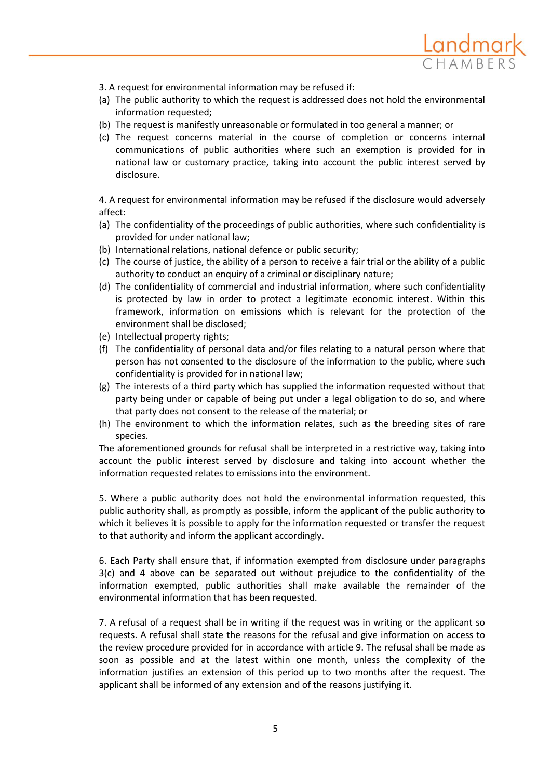

3. A request for environmental information may be refused if:

- (a) The public authority to which the request is addressed does not hold the environmental information requested;
- (b) The request is manifestly unreasonable or formulated in too general a manner; or
- (c) The request concerns material in the course of completion or concerns internal communications of public authorities where such an exemption is provided for in national law or customary practice, taking into account the public interest served by disclosure.

4. A request for environmental information may be refused if the disclosure would adversely affect:

- (a) The confidentiality of the proceedings of public authorities, where such confidentiality is provided for under national law;
- (b) International relations, national defence or public security;
- (c) The course of justice, the ability of a person to receive a fair trial or the ability of a public authority to conduct an enquiry of a criminal or disciplinary nature;
- (d) The confidentiality of commercial and industrial information, where such confidentiality is protected by law in order to protect a legitimate economic interest. Within this framework, information on emissions which is relevant for the protection of the environment shall be disclosed;
- (e) Intellectual property rights;
- (f) The confidentiality of personal data and/or files relating to a natural person where that person has not consented to the disclosure of the information to the public, where such confidentiality is provided for in national law;
- (g) The interests of a third party which has supplied the information requested without that party being under or capable of being put under a legal obligation to do so, and where that party does not consent to the release of the material; or
- (h) The environment to which the information relates, such as the breeding sites of rare species.

The aforementioned grounds for refusal shall be interpreted in a restrictive way, taking into account the public interest served by disclosure and taking into account whether the information requested relates to emissions into the environment.

5. Where a public authority does not hold the environmental information requested, this public authority shall, as promptly as possible, inform the applicant of the public authority to which it believes it is possible to apply for the information requested or transfer the request to that authority and inform the applicant accordingly.

6. Each Party shall ensure that, if information exempted from disclosure under paragraphs 3(c) and 4 above can be separated out without prejudice to the confidentiality of the information exempted, public authorities shall make available the remainder of the environmental information that has been requested.

7. A refusal of a request shall be in writing if the request was in writing or the applicant so requests. A refusal shall state the reasons for the refusal and give information on access to the review procedure provided for in accordance with article 9. The refusal shall be made as soon as possible and at the latest within one month, unless the complexity of the information justifies an extension of this period up to two months after the request. The applicant shall be informed of any extension and of the reasons justifying it.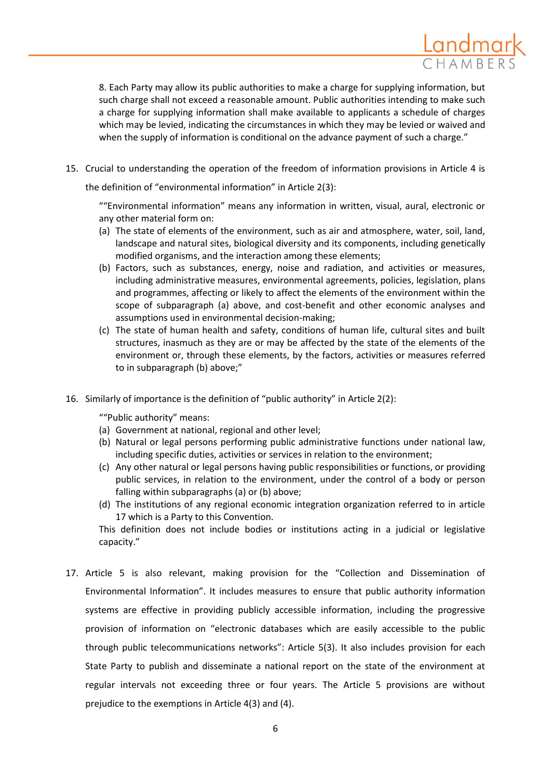

8. Each Party may allow its public authorities to make a charge for supplying information, but such charge shall not exceed a reasonable amount. Public authorities intending to make such a charge for supplying information shall make available to applicants a schedule of charges which may be levied, indicating the circumstances in which they may be levied or waived and when the supply of information is conditional on the advance payment of such a charge."

15. Crucial to understanding the operation of the freedom of information provisions in Article 4 is

the definition of "environmental information" in Article 2(3):

""Environmental information" means any information in written, visual, aural, electronic or any other material form on:

- (a) The state of elements of the environment, such as air and atmosphere, water, soil, land, landscape and natural sites, biological diversity and its components, including genetically modified organisms, and the interaction among these elements;
- (b) Factors, such as substances, energy, noise and radiation, and activities or measures, including administrative measures, environmental agreements, policies, legislation, plans and programmes, affecting or likely to affect the elements of the environment within the scope of subparagraph (a) above, and cost-benefit and other economic analyses and assumptions used in environmental decision-making;
- (c) The state of human health and safety, conditions of human life, cultural sites and built structures, inasmuch as they are or may be affected by the state of the elements of the environment or, through these elements, by the factors, activities or measures referred to in subparagraph (b) above;"
- 16. Similarly of importance is the definition of "public authority" in Article 2(2):

""Public authority" means:

- (a) Government at national, regional and other level;
- (b) Natural or legal persons performing public administrative functions under national law, including specific duties, activities or services in relation to the environment;
- (c) Any other natural or legal persons having public responsibilities or functions, or providing public services, in relation to the environment, under the control of a body or person falling within subparagraphs (a) or (b) above;
- (d) The institutions of any regional economic integration organization referred to in article 17 which is a Party to this Convention.

This definition does not include bodies or institutions acting in a judicial or legislative capacity."

17. Article 5 is also relevant, making provision for the "Collection and Dissemination of Environmental Information". It includes measures to ensure that public authority information systems are effective in providing publicly accessible information, including the progressive provision of information on "electronic databases which are easily accessible to the public through public telecommunications networks": Article 5(3). It also includes provision for each State Party to publish and disseminate a national report on the state of the environment at regular intervals not exceeding three or four years. The Article 5 provisions are without prejudice to the exemptions in Article 4(3) and (4).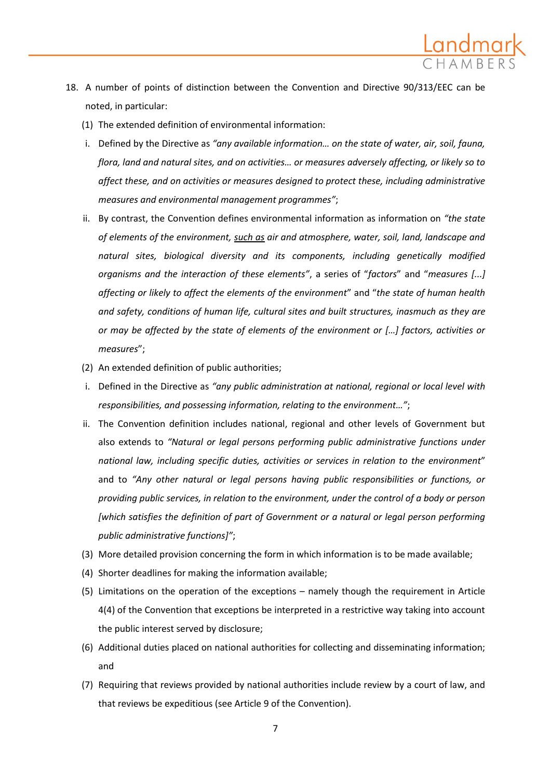

- 18. A number of points of distinction between the Convention and Directive 90/313/EEC can be noted, in particular:
	- (1) The extended definition of environmental information:
	- i. Defined by the Directive as *"any available information… on the state of water, air, soil, fauna, flora, land and natural sites, and on activities… or measures adversely affecting, or likely so to affect these, and on activities or measures designed to protect these, including administrative measures and environmental management programmes"*;
	- ii. By contrast, the Convention defines environmental information as information on *"the state of elements of the environment, such as air and atmosphere, water, soil, land, landscape and natural sites, biological diversity and its components, including genetically modified organisms and the interaction of these elements"*, a series of "*factors*" and "*measures [...] affecting or likely to affect the elements of the environment*" and "*the state of human health and safety, conditions of human life, cultural sites and built structures, inasmuch as they are or may be affected by the state of elements of the environment or […] factors, activities or measures*";
	- (2) An extended definition of public authorities;
	- i. Defined in the Directive as *"any public administration at national, regional or local level with responsibilities, and possessing information, relating to the environment…"*;
	- ii. The Convention definition includes national, regional and other levels of Government but also extends to *"Natural or legal persons performing public administrative functions under national law, including specific duties, activities or services in relation to the environment*" and to *"Any other natural or legal persons having public responsibilities or functions, or providing public services, in relation to the environment, under the control of a body or person [which satisfies the definition of part of Government or a natural or legal person performing public administrative functions]"*;
	- (3) More detailed provision concerning the form in which information is to be made available;
	- (4) Shorter deadlines for making the information available;
	- (5) Limitations on the operation of the exceptions namely though the requirement in Article 4(4) of the Convention that exceptions be interpreted in a restrictive way taking into account the public interest served by disclosure;
	- (6) Additional duties placed on national authorities for collecting and disseminating information; and
	- (7) Requiring that reviews provided by national authorities include review by a court of law, and that reviews be expeditious (see Article 9 of the Convention).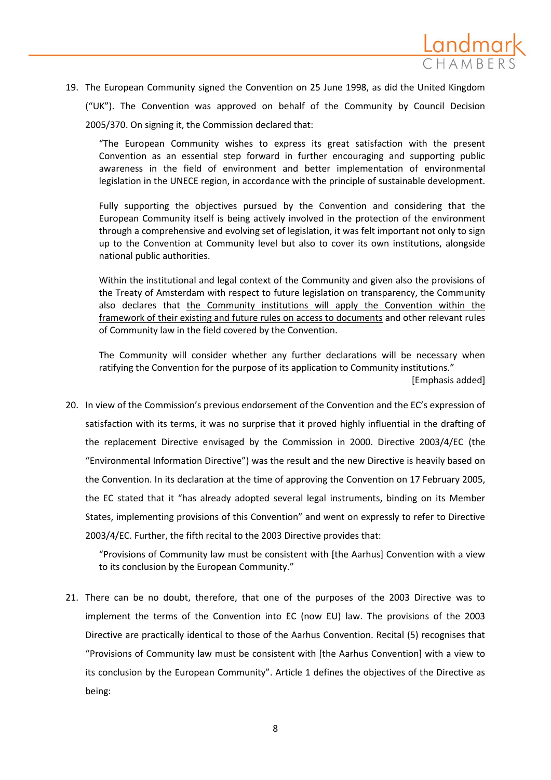

19. The European Community signed the Convention on 25 June 1998, as did the United Kingdom ("UK"). The Convention was approved on behalf of the Community by Council Decision 2005/370. On signing it, the Commission declared that:

"The European Community wishes to express its great satisfaction with the present Convention as an essential step forward in further encouraging and supporting public awareness in the field of environment and better implementation of environmental legislation in the UNECE region, in accordance with the principle of sustainable development.

Fully supporting the objectives pursued by the Convention and considering that the European Community itself is being actively involved in the protection of the environment through a comprehensive and evolving set of legislation, it was felt important not only to sign up to the Convention at Community level but also to cover its own institutions, alongside national public authorities.

Within the institutional and legal context of the Community and given also the provisions of the Treaty of Amsterdam with respect to future legislation on transparency, the Community also declares that the Community institutions will apply the Convention within the framework of their existing and future rules on access to documents and other relevant rules of Community law in the field covered by the Convention.

The Community will consider whether any further declarations will be necessary when ratifying the Convention for the purpose of its application to Community institutions."

[Emphasis added]

20. In view of the Commission's previous endorsement of the Convention and the EC's expression of satisfaction with its terms, it was no surprise that it proved highly influential in the drafting of the replacement Directive envisaged by the Commission in 2000. Directive 2003/4/EC (the "Environmental Information Directive") was the result and the new Directive is heavily based on the Convention. In its declaration at the time of approving the Convention on 17 February 2005, the EC stated that it "has already adopted several legal instruments, binding on its Member States, implementing provisions of this Convention" and went on expressly to refer to Directive 2003/4/EC. Further, the fifth recital to the 2003 Directive provides that:

"Provisions of Community law must be consistent with [the Aarhus] Convention with a view to its conclusion by the European Community."

21. There can be no doubt, therefore, that one of the purposes of the 2003 Directive was to implement the terms of the Convention into EC (now EU) law. The provisions of the 2003 Directive are practically identical to those of the Aarhus Convention. Recital (5) recognises that "Provisions of Community law must be consistent with [the Aarhus Convention] with a view to its conclusion by the European Community". Article 1 defines the objectives of the Directive as being: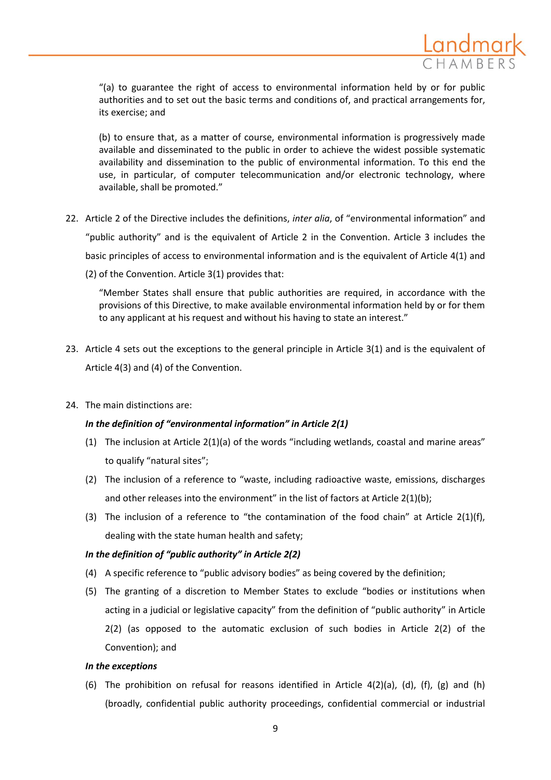

"(a) to guarantee the right of access to environmental information held by or for public authorities and to set out the basic terms and conditions of, and practical arrangements for, its exercise; and

(b) to ensure that, as a matter of course, environmental information is progressively made available and disseminated to the public in order to achieve the widest possible systematic availability and dissemination to the public of environmental information. To this end the use, in particular, of computer telecommunication and/or electronic technology, where available, shall be promoted."

- 22. Article 2 of the Directive includes the definitions, *inter alia*, of "environmental information" and "public authority" and is the equivalent of Article 2 in the Convention. Article 3 includes the basic principles of access to environmental information and is the equivalent of Article 4(1) and
	- (2) of the Convention. Article 3(1) provides that:

"Member States shall ensure that public authorities are required, in accordance with the provisions of this Directive, to make available environmental information held by or for them to any applicant at his request and without his having to state an interest."

- 23. Article 4 sets out the exceptions to the general principle in Article 3(1) and is the equivalent of Article 4(3) and (4) of the Convention.
- 24. The main distinctions are:

## *In the definition of "environmental information" in Article 2(1)*

- (1) The inclusion at Article 2(1)(a) of the words "including wetlands, coastal and marine areas" to qualify "natural sites";
- (2) The inclusion of a reference to "waste, including radioactive waste, emissions, discharges and other releases into the environment" in the list of factors at Article  $2(1)(b)$ ;
- (3) The inclusion of a reference to "the contamination of the food chain" at Article  $2(1)(f)$ , dealing with the state human health and safety;

## *In the definition of "public authority" in Article 2(2)*

- (4) A specific reference to "public advisory bodies" as being covered by the definition;
- (5) The granting of a discretion to Member States to exclude "bodies or institutions when acting in a judicial or legislative capacity" from the definition of "public authority" in Article 2(2) (as opposed to the automatic exclusion of such bodies in Article 2(2) of the Convention); and

#### *In the exceptions*

(6) The prohibition on refusal for reasons identified in Article  $4(2)(a)$ , (d), (f), (g) and (h) (broadly, confidential public authority proceedings, confidential commercial or industrial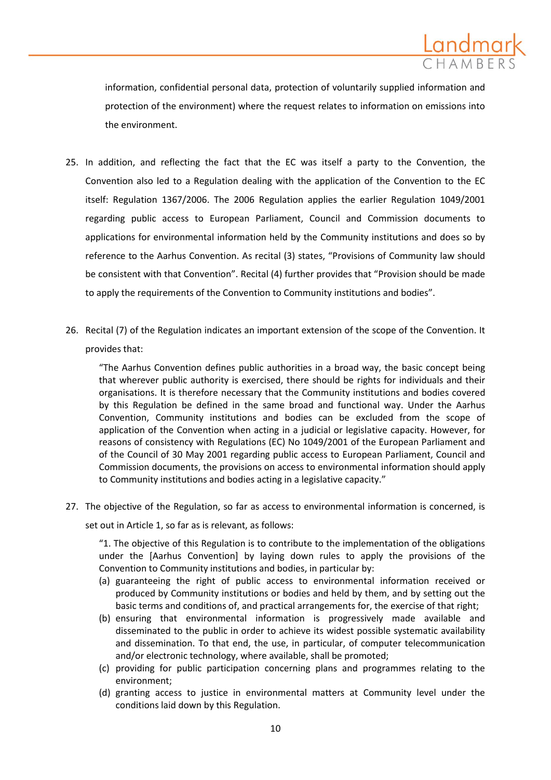

information, confidential personal data, protection of voluntarily supplied information and protection of the environment) where the request relates to information on emissions into the environment.

- 25. In addition, and reflecting the fact that the EC was itself a party to the Convention, the Convention also led to a Regulation dealing with the application of the Convention to the EC itself: Regulation 1367/2006. The 2006 Regulation applies the earlier Regulation 1049/2001 regarding public access to European Parliament, Council and Commission documents to applications for environmental information held by the Community institutions and does so by reference to the Aarhus Convention. As recital (3) states, "Provisions of Community law should be consistent with that Convention". Recital (4) further provides that "Provision should be made to apply the requirements of the Convention to Community institutions and bodies".
- 26. Recital (7) of the Regulation indicates an important extension of the scope of the Convention. It provides that:

"The Aarhus Convention defines public authorities in a broad way, the basic concept being that wherever public authority is exercised, there should be rights for individuals and their organisations. It is therefore necessary that the Community institutions and bodies covered by this Regulation be defined in the same broad and functional way. Under the Aarhus Convention, Community institutions and bodies can be excluded from the scope of application of the Convention when acting in a judicial or legislative capacity. However, for reasons of consistency with Regulations (EC) No 1049/2001 of the European Parliament and of the Council of 30 May 2001 regarding public access to European Parliament, Council and Commission documents, the provisions on access to environmental information should apply to Community institutions and bodies acting in a legislative capacity."

27. The objective of the Regulation, so far as access to environmental information is concerned, is

set out in Article 1, so far as is relevant, as follows:

"1. The objective of this Regulation is to contribute to the implementation of the obligations under the [Aarhus Convention] by laying down rules to apply the provisions of the Convention to Community institutions and bodies, in particular by:

- (a) guaranteeing the right of public access to environmental information received or produced by Community institutions or bodies and held by them, and by setting out the basic terms and conditions of, and practical arrangements for, the exercise of that right;
- (b) ensuring that environmental information is progressively made available and disseminated to the public in order to achieve its widest possible systematic availability and dissemination. To that end, the use, in particular, of computer telecommunication and/or electronic technology, where available, shall be promoted;
- (c) providing for public participation concerning plans and programmes relating to the environment;
- (d) granting access to justice in environmental matters at Community level under the conditions laid down by this Regulation.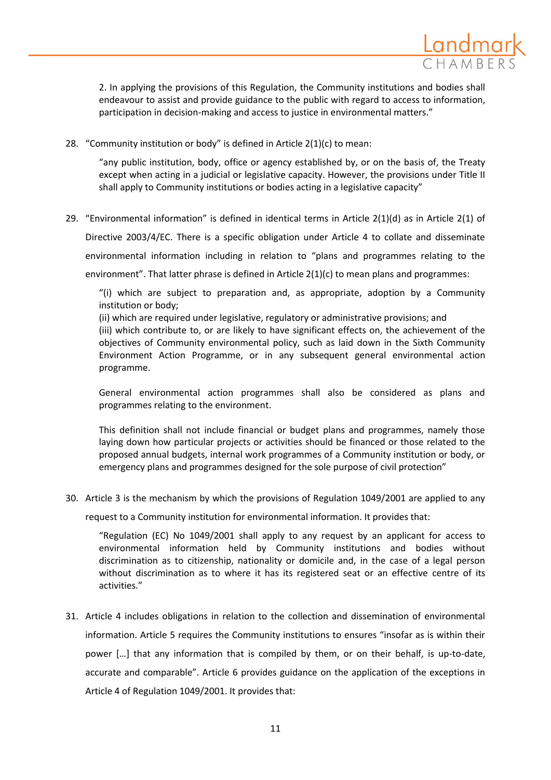

2. In applying the provisions of this Regulation, the Community institutions and bodies shall endeavour to assist and provide guidance to the public with regard to access to information, participation in decision-making and access to justice in environmental matters."

28. "Community institution or body" is defined in Article 2(1)(c) to mean:

"any public institution, body, office or agency established by, or on the basis of, the Treaty except when acting in a judicial or legislative capacity. However, the provisions under Title II shall apply to Community institutions or bodies acting in a legislative capacity"

29. "Environmental information" is defined in identical terms in Article 2(1)(d) as in Article 2(1) of

Directive 2003/4/EC. There is a specific obligation under Article 4 to collate and disseminate environmental information including in relation to "plans and programmes relating to the environment". That latter phrase is defined in Article 2(1)(c) to mean plans and programmes:

"(i) which are subject to preparation and, as appropriate, adoption by a Community institution or body;

(ii) which are required under legislative, regulatory or administrative provisions; and

(iii) which contribute to, or are likely to have significant effects on, the achievement of the objectives of Community environmental policy, such as laid down in the Sixth Community Environment Action Programme, or in any subsequent general environmental action programme.

General environmental action programmes shall also be considered as plans and programmes relating to the environment.

This definition shall not include financial or budget plans and programmes, namely those laying down how particular projects or activities should be financed or those related to the proposed annual budgets, internal work programmes of a Community institution or body, or emergency plans and programmes designed for the sole purpose of civil protection"

30. Article 3 is the mechanism by which the provisions of Regulation 1049/2001 are applied to any

request to a Community institution for environmental information. It provides that:

"Regulation (EC) No 1049/2001 shall apply to any request by an applicant for access to environmental information held by Community institutions and bodies without discrimination as to citizenship, nationality or domicile and, in the case of a legal person without discrimination as to where it has its registered seat or an effective centre of its activities."

31. Article 4 includes obligations in relation to the collection and dissemination of environmental information. Article 5 requires the Community institutions to ensures "insofar as is within their power […] that any information that is compiled by them, or on their behalf, is up-to-date, accurate and comparable". Article 6 provides guidance on the application of the exceptions in Article 4 of Regulation 1049/2001. It provides that: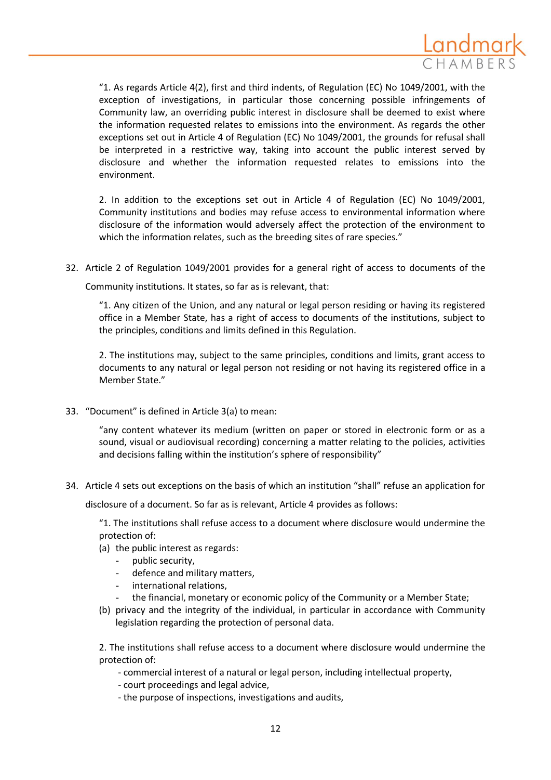

"1. As regards Article 4(2), first and third indents, of Regulation (EC) No 1049/2001, with the exception of investigations, in particular those concerning possible infringements of Community law, an overriding public interest in disclosure shall be deemed to exist where the information requested relates to emissions into the environment. As regards the other exceptions set out in Article 4 of Regulation (EC) No 1049/2001, the grounds for refusal shall be interpreted in a restrictive way, taking into account the public interest served by disclosure and whether the information requested relates to emissions into the environment.

2. In addition to the exceptions set out in Article 4 of Regulation (EC) No 1049/2001, Community institutions and bodies may refuse access to environmental information where disclosure of the information would adversely affect the protection of the environment to which the information relates, such as the breeding sites of rare species."

32. Article 2 of Regulation 1049/2001 provides for a general right of access to documents of the

Community institutions. It states, so far as is relevant, that:

"1. Any citizen of the Union, and any natural or legal person residing or having its registered office in a Member State, has a right of access to documents of the institutions, subject to the principles, conditions and limits defined in this Regulation.

2. The institutions may, subject to the same principles, conditions and limits, grant access to documents to any natural or legal person not residing or not having its registered office in a Member State."

33. "Document" is defined in Article 3(a) to mean:

"any content whatever its medium (written on paper or stored in electronic form or as a sound, visual or audiovisual recording) concerning a matter relating to the policies, activities and decisions falling within the institution's sphere of responsibility"

34. Article 4 sets out exceptions on the basis of which an institution "shall" refuse an application for

disclosure of a document. So far as is relevant, Article 4 provides as follows:

"1. The institutions shall refuse access to a document where disclosure would undermine the protection of:

- (a) the public interest as regards:
	- public security,
	- defence and military matters,
	- international relations,
	- the financial, monetary or economic policy of the Community or a Member State;
- (b) privacy and the integrity of the individual, in particular in accordance with Community legislation regarding the protection of personal data.

2. The institutions shall refuse access to a document where disclosure would undermine the protection of:

- commercial interest of a natural or legal person, including intellectual property,
- court proceedings and legal advice,
- the purpose of inspections, investigations and audits,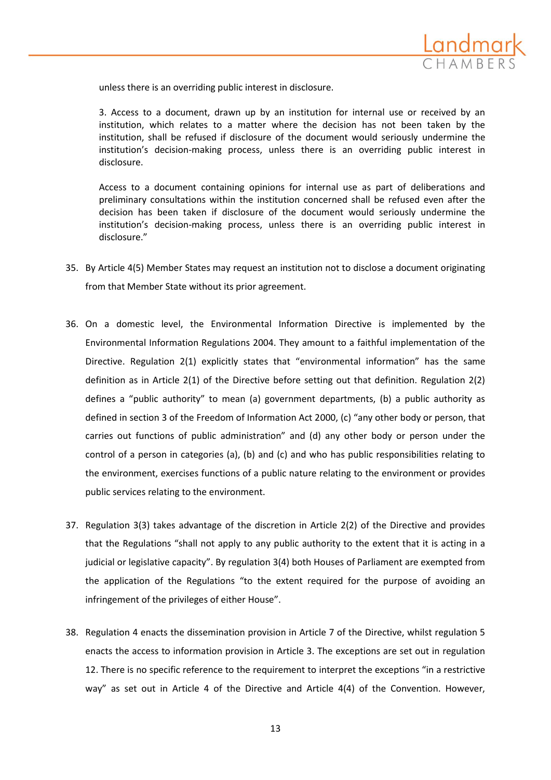

unless there is an overriding public interest in disclosure.

3. Access to a document, drawn up by an institution for internal use or received by an institution, which relates to a matter where the decision has not been taken by the institution, shall be refused if disclosure of the document would seriously undermine the institution's decision-making process, unless there is an overriding public interest in disclosure.

Access to a document containing opinions for internal use as part of deliberations and preliminary consultations within the institution concerned shall be refused even after the decision has been taken if disclosure of the document would seriously undermine the institution's decision-making process, unless there is an overriding public interest in disclosure."

- 35. By Article 4(5) Member States may request an institution not to disclose a document originating from that Member State without its prior agreement.
- 36. On a domestic level, the Environmental Information Directive is implemented by the Environmental Information Regulations 2004. They amount to a faithful implementation of the Directive. Regulation 2(1) explicitly states that "environmental information" has the same definition as in Article 2(1) of the Directive before setting out that definition. Regulation 2(2) defines a "public authority" to mean (a) government departments, (b) a public authority as defined in section 3 of the Freedom of Information Act 2000, (c) "any other body or person, that carries out functions of public administration" and (d) any other body or person under the control of a person in categories (a), (b) and (c) and who has public responsibilities relating to the environment, exercises functions of a public nature relating to the environment or provides public services relating to the environment.
- 37. Regulation 3(3) takes advantage of the discretion in Article 2(2) of the Directive and provides that the Regulations "shall not apply to any public authority to the extent that it is acting in a judicial or legislative capacity". By regulation 3(4) both Houses of Parliament are exempted from the application of the Regulations "to the extent required for the purpose of avoiding an infringement of the privileges of either House".
- 38. Regulation 4 enacts the dissemination provision in Article 7 of the Directive, whilst regulation 5 enacts the access to information provision in Article 3. The exceptions are set out in regulation 12. There is no specific reference to the requirement to interpret the exceptions "in a restrictive way" as set out in Article 4 of the Directive and Article 4(4) of the Convention. However,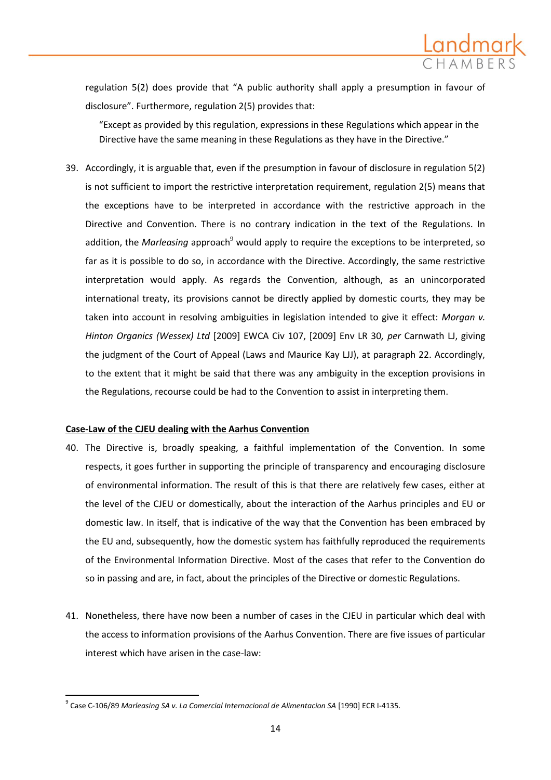

regulation 5(2) does provide that "A public authority shall apply a presumption in favour of disclosure". Furthermore, regulation 2(5) provides that:

"Except as provided by this regulation, expressions in these Regulations which appear in the Directive have the same meaning in these Regulations as they have in the Directive."

39. Accordingly, it is arguable that, even if the presumption in favour of disclosure in regulation 5(2) is not sufficient to import the restrictive interpretation requirement, regulation 2(5) means that the exceptions have to be interpreted in accordance with the restrictive approach in the Directive and Convention. There is no contrary indication in the text of the Regulations. In addition, the *Marleasing* approach<sup>9</sup> would apply to require the exceptions to be interpreted, so far as it is possible to do so, in accordance with the Directive. Accordingly, the same restrictive interpretation would apply. As regards the Convention, although, as an unincorporated international treaty, its provisions cannot be directly applied by domestic courts, they may be taken into account in resolving ambiguities in legislation intended to give it effect: *Morgan v. Hinton Organics (Wessex) Ltd* [2009] EWCA Civ 107, [2009] Env LR 30*, per* Carnwath LJ, giving the judgment of the Court of Appeal (Laws and Maurice Kay LJJ), at paragraph 22. Accordingly, to the extent that it might be said that there was any ambiguity in the exception provisions in the Regulations, recourse could be had to the Convention to assist in interpreting them.

## **Case-Law of the CJEU dealing with the Aarhus Convention**

- 40. The Directive is, broadly speaking, a faithful implementation of the Convention. In some respects, it goes further in supporting the principle of transparency and encouraging disclosure of environmental information. The result of this is that there are relatively few cases, either at the level of the CJEU or domestically, about the interaction of the Aarhus principles and EU or domestic law. In itself, that is indicative of the way that the Convention has been embraced by the EU and, subsequently, how the domestic system has faithfully reproduced the requirements of the Environmental Information Directive. Most of the cases that refer to the Convention do so in passing and are, in fact, about the principles of the Directive or domestic Regulations.
- 41. Nonetheless, there have now been a number of cases in the CJEU in particular which deal with the access to information provisions of the Aarhus Convention. There are five issues of particular interest which have arisen in the case-law:

<sup>&</sup>lt;sup>9</sup> Case C-106/89 *Marleasing SA v. La Comercial Internacional de Alimentacion SA* [1990] ECR I-4135.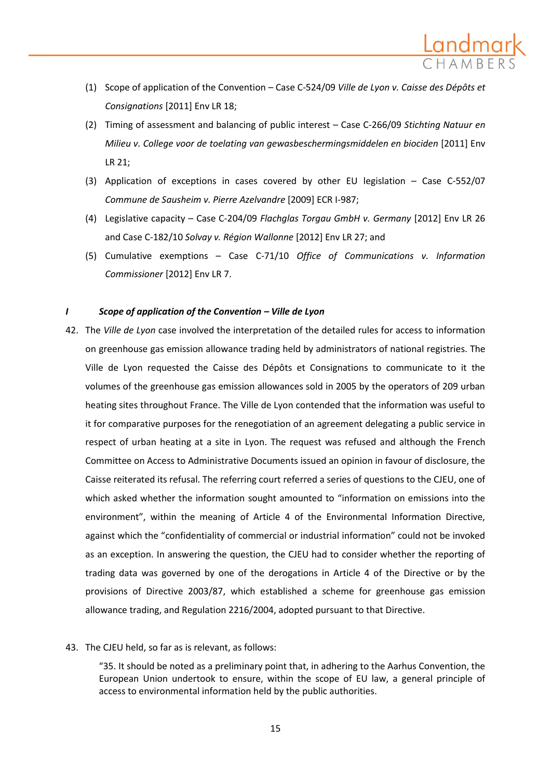

- (1) Scope of application of the Convention Case C-524/09 *Ville de Lyon v. Caisse des Dépôts et Consignations* [2011] Env LR 18;
- (2) Timing of assessment and balancing of public interest Case C-266/09 *Stichting Natuur en Milieu v. College voor de toelating van gewasbeschermingsmiddelen en biociden* [2011] Env LR 21;
- (3) Application of exceptions in cases covered by other EU legislation Case C-552/07 *Commune de Sausheim v. Pierre Azelvandre* [2009] ECR I-987;
- (4) Legislative capacity Case C-204/09 *Flachglas Torgau GmbH v. Germany* [2012] Env LR 26 and Case C-182/10 *Solvay v. Région Wallonne* [2012] Env LR 27; and
- (5) Cumulative exemptions Case C-71/10 *Office of Communications v. Information Commissioner* [2012] Env LR 7.

## *I Scope of application of the Convention – Ville de Lyon*

42. The *Ville de Lyon* case involved the interpretation of the detailed rules for access to information on greenhouse gas emission allowance trading held by administrators of national registries. The Ville de Lyon requested the Caisse des Dépôts et Consignations to communicate to it the volumes of the greenhouse gas emission allowances sold in 2005 by the operators of 209 urban heating sites throughout France. The Ville de Lyon contended that the information was useful to it for comparative purposes for the renegotiation of an agreement delegating a public service in respect of urban heating at a site in Lyon. The request was refused and although the French Committee on Access to Administrative Documents issued an opinion in favour of disclosure, the Caisse reiterated its refusal. The referring court referred a series of questions to the CJEU, one of which asked whether the information sought amounted to "information on emissions into the environment", within the meaning of Article 4 of the Environmental Information Directive, against which the "confidentiality of commercial or industrial information" could not be invoked as an exception. In answering the question, the CJEU had to consider whether the reporting of trading data was governed by one of the derogations in Article 4 of the Directive or by the provisions of Directive 2003/87, which established a scheme for greenhouse gas emission allowance trading, and Regulation 2216/2004, adopted pursuant to that Directive.

#### 43. The CJEU held, so far as is relevant, as follows:

"35. It should be noted as a preliminary point that, in adhering to the Aarhus Convention, the European Union undertook to ensure, within the scope of EU law, a general principle of access to environmental information held by the public authorities.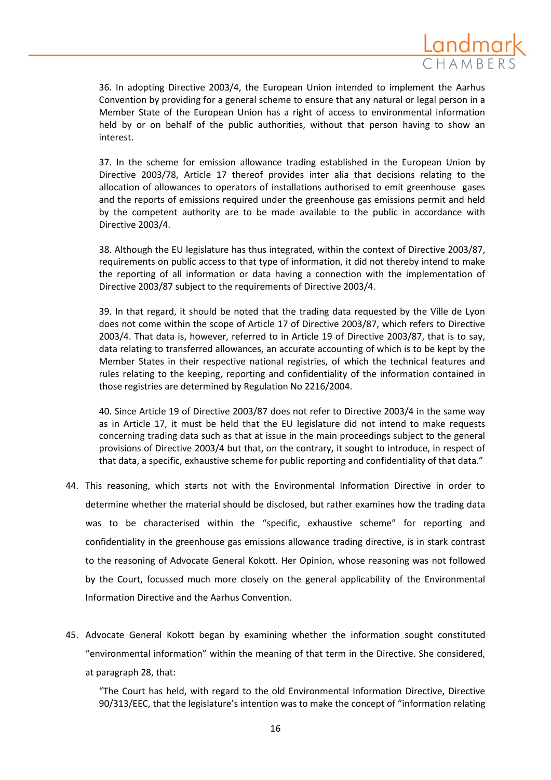

36. In adopting Directive 2003/4, the European Union intended to implement the Aarhus Convention by providing for a general scheme to ensure that any natural or legal person in a Member State of the European Union has a right of access to environmental information held by or on behalf of the public authorities, without that person having to show an interest.

37. In the scheme for emission allowance trading established in the European Union by Directive 2003/78, Article 17 thereof provides inter alia that decisions relating to the allocation of allowances to operators of installations authorised to emit greenhouse gases and the reports of emissions required under the greenhouse gas emissions permit and held by the competent authority are to be made available to the public in accordance with Directive 2003/4.

38. Although the EU legislature has thus integrated, within the context of Directive 2003/87, requirements on public access to that type of information, it did not thereby intend to make the reporting of all information or data having a connection with the implementation of Directive 2003/87 subject to the requirements of Directive 2003/4.

39. In that regard, it should be noted that the trading data requested by the Ville de Lyon does not come within the scope of Article 17 of Directive 2003/87, which refers to Directive 2003/4. That data is, however, referred to in Article 19 of Directive 2003/87, that is to say, data relating to transferred allowances, an accurate accounting of which is to be kept by the Member States in their respective national registries, of which the technical features and rules relating to the keeping, reporting and confidentiality of the information contained in those registries are determined by Regulation No 2216/2004.

40. Since Article 19 of Directive 2003/87 does not refer to Directive 2003/4 in the same way as in Article 17, it must be held that the EU legislature did not intend to make requests concerning trading data such as that at issue in the main proceedings subject to the general provisions of Directive 2003/4 but that, on the contrary, it sought to introduce, in respect of that data, a specific, exhaustive scheme for public reporting and confidentiality of that data."

- 44. This reasoning, which starts not with the Environmental Information Directive in order to determine whether the material should be disclosed, but rather examines how the trading data was to be characterised within the "specific, exhaustive scheme" for reporting and confidentiality in the greenhouse gas emissions allowance trading directive, is in stark contrast to the reasoning of Advocate General Kokott. Her Opinion, whose reasoning was not followed by the Court, focussed much more closely on the general applicability of the Environmental Information Directive and the Aarhus Convention.
- 45. Advocate General Kokott began by examining whether the information sought constituted "environmental information" within the meaning of that term in the Directive. She considered, at paragraph 28, that:

"The Court has held, with regard to the old Environmental Information Directive, Directive 90/313/EEC, that the legislature's intention was to make the concept of "information relating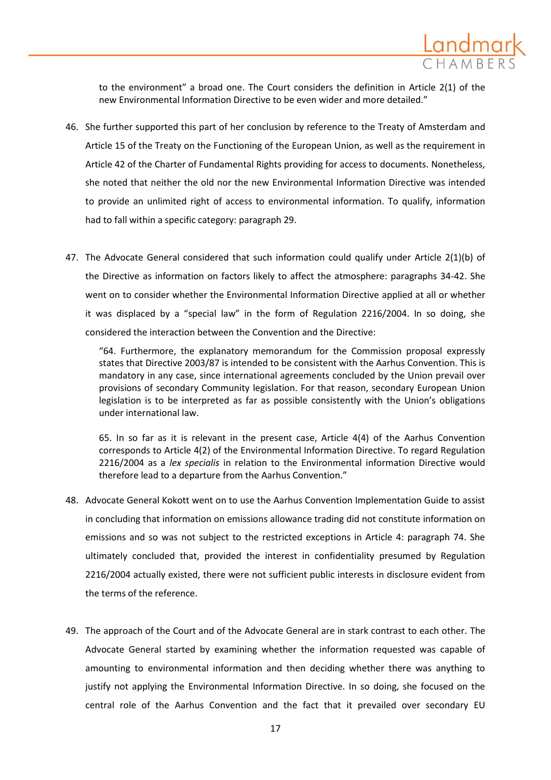

to the environment" a broad one. The Court considers the definition in Article 2(1) of the new Environmental Information Directive to be even wider and more detailed."

- 46. She further supported this part of her conclusion by reference to the Treaty of Amsterdam and Article 15 of the Treaty on the Functioning of the European Union, as well as the requirement in Article 42 of the Charter of Fundamental Rights providing for access to documents. Nonetheless, she noted that neither the old nor the new Environmental Information Directive was intended to provide an unlimited right of access to environmental information. To qualify, information had to fall within a specific category: paragraph 29.
- 47. The Advocate General considered that such information could qualify under Article 2(1)(b) of the Directive as information on factors likely to affect the atmosphere: paragraphs 34-42. She went on to consider whether the Environmental Information Directive applied at all or whether it was displaced by a "special law" in the form of Regulation 2216/2004. In so doing, she considered the interaction between the Convention and the Directive:

"64. Furthermore, the explanatory memorandum for the Commission proposal expressly states that Directive 2003/87 is intended to be consistent with the Aarhus Convention. This is mandatory in any case, since international agreements concluded by the Union prevail over provisions of secondary Community legislation. For that reason, secondary European Union legislation is to be interpreted as far as possible consistently with the Union's obligations under international law.

65. In so far as it is relevant in the present case, Article 4(4) of the Aarhus Convention corresponds to Article 4(2) of the Environmental Information Directive. To regard Regulation 2216/2004 as a *lex specialis* in relation to the Environmental information Directive would therefore lead to a departure from the Aarhus Convention."

- 48. Advocate General Kokott went on to use the Aarhus Convention Implementation Guide to assist in concluding that information on emissions allowance trading did not constitute information on emissions and so was not subject to the restricted exceptions in Article 4: paragraph 74. She ultimately concluded that, provided the interest in confidentiality presumed by Regulation 2216/2004 actually existed, there were not sufficient public interests in disclosure evident from the terms of the reference.
- 49. The approach of the Court and of the Advocate General are in stark contrast to each other. The Advocate General started by examining whether the information requested was capable of amounting to environmental information and then deciding whether there was anything to justify not applying the Environmental Information Directive. In so doing, she focused on the central role of the Aarhus Convention and the fact that it prevailed over secondary EU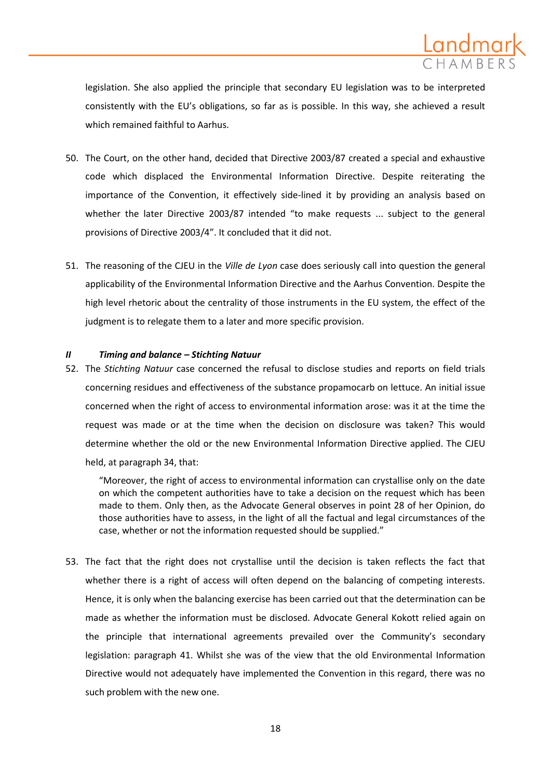

legislation. She also applied the principle that secondary EU legislation was to be interpreted consistently with the EU's obligations, so far as is possible. In this way, she achieved a result which remained faithful to Aarhus.

- 50. The Court, on the other hand, decided that Directive 2003/87 created a special and exhaustive code which displaced the Environmental Information Directive. Despite reiterating the importance of the Convention, it effectively side-lined it by providing an analysis based on whether the later Directive 2003/87 intended "to make requests ... subject to the general provisions of Directive 2003/4". It concluded that it did not.
- 51. The reasoning of the CJEU in the *Ville de Lyon* case does seriously call into question the general applicability of the Environmental Information Directive and the Aarhus Convention. Despite the high level rhetoric about the centrality of those instruments in the EU system, the effect of the judgment is to relegate them to a later and more specific provision.

#### *II Timing and balance – Stichting Natuur*

52. The *Stichting Natuur* case concerned the refusal to disclose studies and reports on field trials concerning residues and effectiveness of the substance propamocarb on lettuce. An initial issue concerned when the right of access to environmental information arose: was it at the time the request was made or at the time when the decision on disclosure was taken? This would determine whether the old or the new Environmental Information Directive applied. The CJEU held, at paragraph 34, that:

"Moreover, the right of access to environmental information can crystallise only on the date on which the competent authorities have to take a decision on the request which has been made to them. Only then, as the Advocate General observes in point 28 of her Opinion, do those authorities have to assess, in the light of all the factual and legal circumstances of the case, whether or not the information requested should be supplied."

53. The fact that the right does not crystallise until the decision is taken reflects the fact that whether there is a right of access will often depend on the balancing of competing interests. Hence, it is only when the balancing exercise has been carried out that the determination can be made as whether the information must be disclosed. Advocate General Kokott relied again on the principle that international agreements prevailed over the Community's secondary legislation: paragraph 41. Whilst she was of the view that the old Environmental Information Directive would not adequately have implemented the Convention in this regard, there was no such problem with the new one.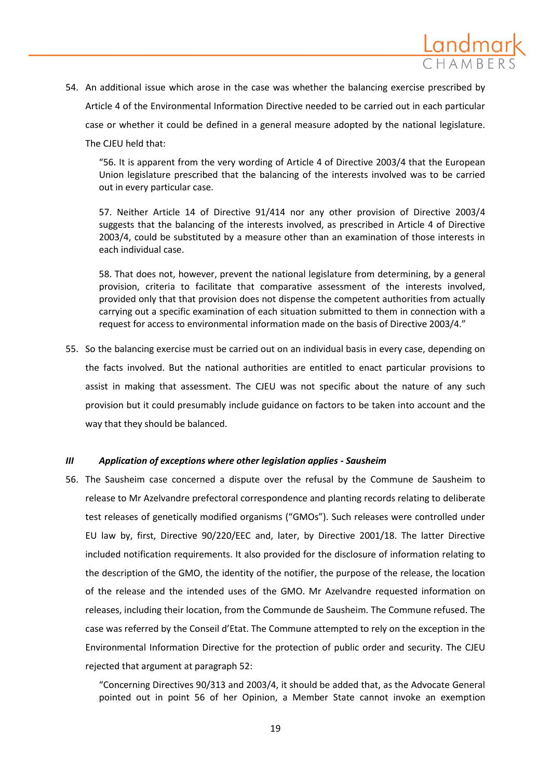

54. An additional issue which arose in the case was whether the balancing exercise prescribed by Article 4 of the Environmental Information Directive needed to be carried out in each particular case or whether it could be defined in a general measure adopted by the national legislature. The CJEU held that:

"56. It is apparent from the very wording of Article 4 of Directive 2003/4 that the European Union legislature prescribed that the balancing of the interests involved was to be carried out in every particular case.

57. Neither Article 14 of Directive 91/414 nor any other provision of Directive 2003/4 suggests that the balancing of the interests involved, as prescribed in Article 4 of Directive 2003/4, could be substituted by a measure other than an examination of those interests in each individual case.

58. That does not, however, prevent the national legislature from determining, by a general provision, criteria to facilitate that comparative assessment of the interests involved, provided only that that provision does not dispense the competent authorities from actually carrying out a specific examination of each situation submitted to them in connection with a request for access to environmental information made on the basis of Directive 2003/4."

55. So the balancing exercise must be carried out on an individual basis in every case, depending on the facts involved. But the national authorities are entitled to enact particular provisions to assist in making that assessment. The CJEU was not specific about the nature of any such provision but it could presumably include guidance on factors to be taken into account and the way that they should be balanced.

## *III Application of exceptions where other legislation applies - Sausheim*

56. The Sausheim case concerned a dispute over the refusal by the Commune de Sausheim to release to Mr Azelvandre prefectoral correspondence and planting records relating to deliberate test releases of genetically modified organisms ("GMOs"). Such releases were controlled under EU law by, first, Directive 90/220/EEC and, later, by Directive 2001/18. The latter Directive included notification requirements. It also provided for the disclosure of information relating to the description of the GMO, the identity of the notifier, the purpose of the release, the location of the release and the intended uses of the GMO. Mr Azelvandre requested information on releases, including their location, from the Communde de Sausheim. The Commune refused. The case was referred by the Conseil d'Etat. The Commune attempted to rely on the exception in the Environmental Information Directive for the protection of public order and security. The CJEU rejected that argument at paragraph 52:

"Concerning Directives 90/313 and 2003/4, it should be added that, as the Advocate General pointed out in point 56 of her Opinion, a Member State cannot invoke an exemption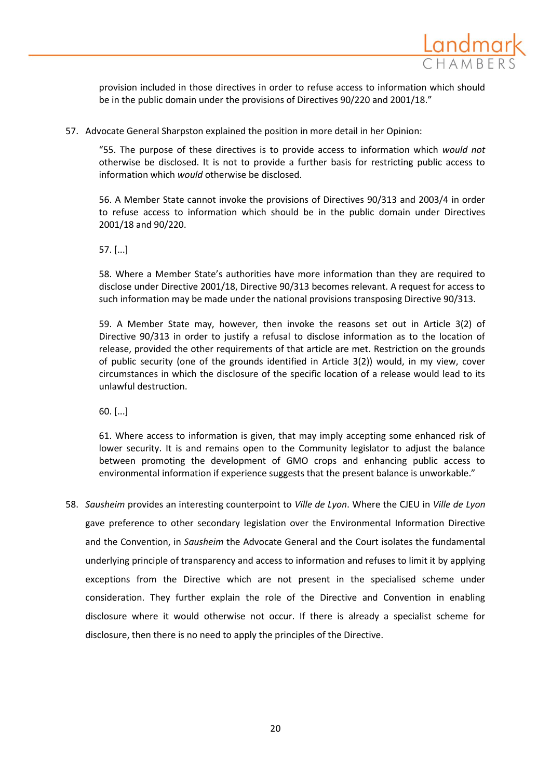

provision included in those directives in order to refuse access to information which should be in the public domain under the provisions of Directives 90/220 and 2001/18."

57. Advocate General Sharpston explained the position in more detail in her Opinion:

"55. The purpose of these directives is to provide access to information which *would not* otherwise be disclosed. It is not to provide a further basis for restricting public access to information which *would* otherwise be disclosed.

56. A Member State cannot invoke the provisions of Directives 90/313 and 2003/4 in order to refuse access to information which should be in the public domain under Directives 2001/18 and 90/220.

57. [...]

58. Where a Member State's authorities have more information than they are required to disclose under Directive 2001/18, Directive 90/313 becomes relevant. A request for access to such information may be made under the national provisions transposing Directive 90/313.

59. A Member State may, however, then invoke the reasons set out in Article 3(2) of Directive 90/313 in order to justify a refusal to disclose information as to the location of release, provided the other requirements of that article are met. Restriction on the grounds of public security (one of the grounds identified in Article 3(2)) would, in my view, cover circumstances in which the disclosure of the specific location of a release would lead to its unlawful destruction.

60. [...]

61. Where access to information is given, that may imply accepting some enhanced risk of lower security. It is and remains open to the Community legislator to adjust the balance between promoting the development of GMO crops and enhancing public access to environmental information if experience suggests that the present balance is unworkable."

58. *Sausheim* provides an interesting counterpoint to *Ville de Lyon*. Where the CJEU in *Ville de Lyon* gave preference to other secondary legislation over the Environmental Information Directive and the Convention, in *Sausheim* the Advocate General and the Court isolates the fundamental underlying principle of transparency and access to information and refuses to limit it by applying exceptions from the Directive which are not present in the specialised scheme under consideration. They further explain the role of the Directive and Convention in enabling disclosure where it would otherwise not occur. If there is already a specialist scheme for disclosure, then there is no need to apply the principles of the Directive.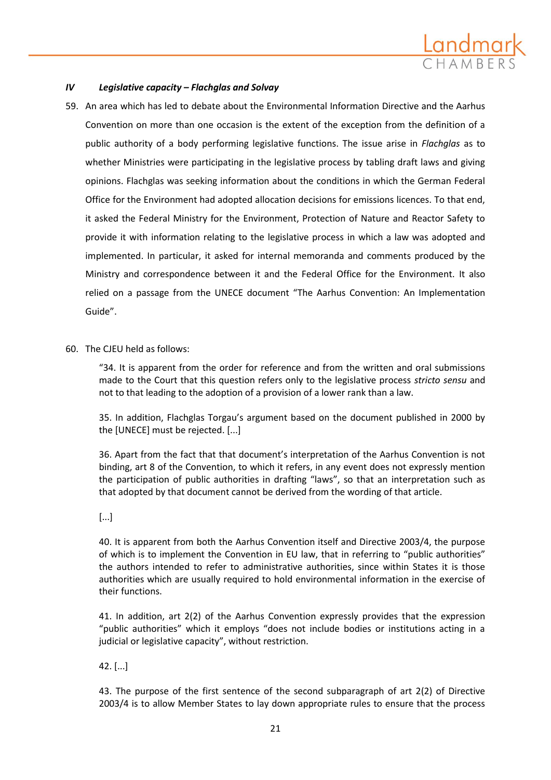

## *IV Legislative capacity – Flachglas and Solvay*

- 59. An area which has led to debate about the Environmental Information Directive and the Aarhus Convention on more than one occasion is the extent of the exception from the definition of a public authority of a body performing legislative functions. The issue arise in *Flachglas* as to whether Ministries were participating in the legislative process by tabling draft laws and giving opinions. Flachglas was seeking information about the conditions in which the German Federal Office for the Environment had adopted allocation decisions for emissions licences. To that end, it asked the Federal Ministry for the Environment, Protection of Nature and Reactor Safety to provide it with information relating to the legislative process in which a law was adopted and implemented. In particular, it asked for internal memoranda and comments produced by the Ministry and correspondence between it and the Federal Office for the Environment. It also relied on a passage from the UNECE document "The Aarhus Convention: An Implementation Guide".
- 60. The CJEU held as follows:

"34. It is apparent from the order for reference and from the written and oral submissions made to the Court that this question refers only to the legislative process *stricto sensu* and not to that leading to the adoption of a provision of a lower rank than a law.

35. In addition, Flachglas Torgau's argument based on the document published in 2000 by the [UNECE] must be rejected. [...]

36. Apart from the fact that that document's interpretation of the Aarhus Convention is not binding, art 8 of the Convention, to which it refers, in any event does not expressly mention the participation of public authorities in drafting "laws", so that an interpretation such as that adopted by that document cannot be derived from the wording of that article.

## [...]

40. It is apparent from both the Aarhus Convention itself and Directive 2003/4, the purpose of which is to implement the Convention in EU law, that in referring to "public authorities" the authors intended to refer to administrative authorities, since within States it is those authorities which are usually required to hold environmental information in the exercise of their functions.

41. In addition, art 2(2) of the Aarhus Convention expressly provides that the expression "public authorities" which it employs "does not include bodies or institutions acting in a judicial or legislative capacity", without restriction.

42. [...]

43. The purpose of the first sentence of the second subparagraph of art 2(2) of Directive 2003/4 is to allow Member States to lay down appropriate rules to ensure that the process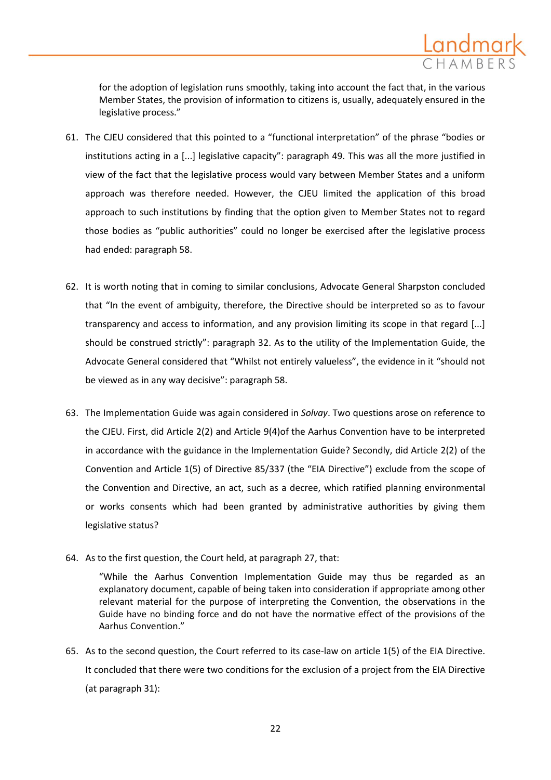

for the adoption of legislation runs smoothly, taking into account the fact that, in the various Member States, the provision of information to citizens is, usually, adequately ensured in the legislative process."

- 61. The CJEU considered that this pointed to a "functional interpretation" of the phrase "bodies or institutions acting in a [...] legislative capacity": paragraph 49. This was all the more justified in view of the fact that the legislative process would vary between Member States and a uniform approach was therefore needed. However, the CJEU limited the application of this broad approach to such institutions by finding that the option given to Member States not to regard those bodies as "public authorities" could no longer be exercised after the legislative process had ended: paragraph 58.
- 62. It is worth noting that in coming to similar conclusions, Advocate General Sharpston concluded that "In the event of ambiguity, therefore, the Directive should be interpreted so as to favour transparency and access to information, and any provision limiting its scope in that regard [...] should be construed strictly": paragraph 32. As to the utility of the Implementation Guide, the Advocate General considered that "Whilst not entirely valueless", the evidence in it "should not be viewed as in any way decisive": paragraph 58.
- 63. The Implementation Guide was again considered in *Solvay*. Two questions arose on reference to the CJEU. First, did Article 2(2) and Article 9(4)of the Aarhus Convention have to be interpreted in accordance with the guidance in the Implementation Guide? Secondly, did Article 2(2) of the Convention and Article 1(5) of Directive 85/337 (the "EIA Directive") exclude from the scope of the Convention and Directive, an act, such as a decree, which ratified planning environmental or works consents which had been granted by administrative authorities by giving them legislative status?
- 64. As to the first question, the Court held, at paragraph 27, that:

"While the Aarhus Convention Implementation Guide may thus be regarded as an explanatory document, capable of being taken into consideration if appropriate among other relevant material for the purpose of interpreting the Convention, the observations in the Guide have no binding force and do not have the normative effect of the provisions of the Aarhus Convention."

65. As to the second question, the Court referred to its case-law on article 1(5) of the EIA Directive. It concluded that there were two conditions for the exclusion of a project from the EIA Directive (at paragraph 31):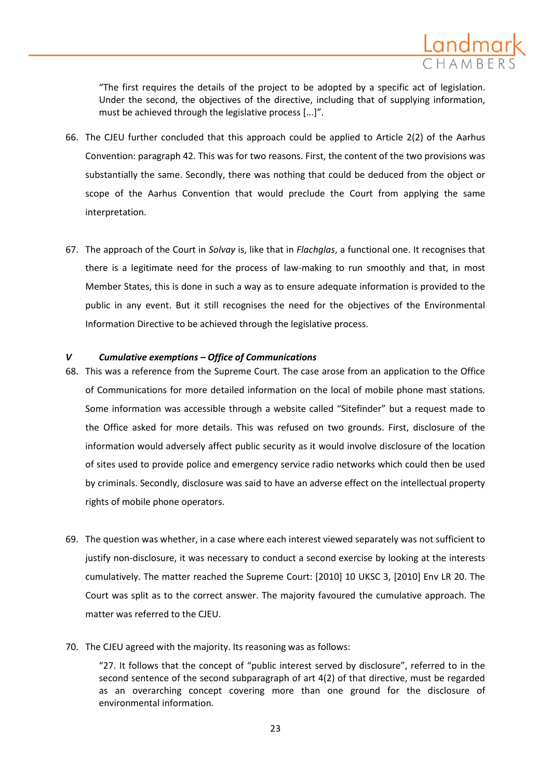

"The first requires the details of the project to be adopted by a specific act of legislation. Under the second, the objectives of the directive, including that of supplying information, must be achieved through the legislative process [...]".

- 66. The CJEU further concluded that this approach could be applied to Article 2(2) of the Aarhus Convention: paragraph 42. This was for two reasons. First, the content of the two provisions was substantially the same. Secondly, there was nothing that could be deduced from the object or scope of the Aarhus Convention that would preclude the Court from applying the same interpretation.
- 67. The approach of the Court in *Solvay* is, like that in *Flachglas*, a functional one. It recognises that there is a legitimate need for the process of law-making to run smoothly and that, in most Member States, this is done in such a way as to ensure adequate information is provided to the public in any event. But it still recognises the need for the objectives of the Environmental Information Directive to be achieved through the legislative process.

## *V Cumulative exemptions – Office of Communications*

- 68. This was a reference from the Supreme Court. The case arose from an application to the Office of Communications for more detailed information on the local of mobile phone mast stations. Some information was accessible through a website called "Sitefinder" but a request made to the Office asked for more details. This was refused on two grounds. First, disclosure of the information would adversely affect public security as it would involve disclosure of the location of sites used to provide police and emergency service radio networks which could then be used by criminals. Secondly, disclosure was said to have an adverse effect on the intellectual property rights of mobile phone operators.
- 69. The question was whether, in a case where each interest viewed separately was not sufficient to justify non-disclosure, it was necessary to conduct a second exercise by looking at the interests cumulatively. The matter reached the Supreme Court: [2010] 10 UKSC 3, [2010] Env LR 20. The Court was split as to the correct answer. The majority favoured the cumulative approach. The matter was referred to the CJEU.
- 70. The CJEU agreed with the majority. Its reasoning was as follows:

"27. It follows that the concept of "public interest served by disclosure", referred to in the second sentence of the second subparagraph of art 4(2) of that directive, must be regarded as an overarching concept covering more than one ground for the disclosure of environmental information.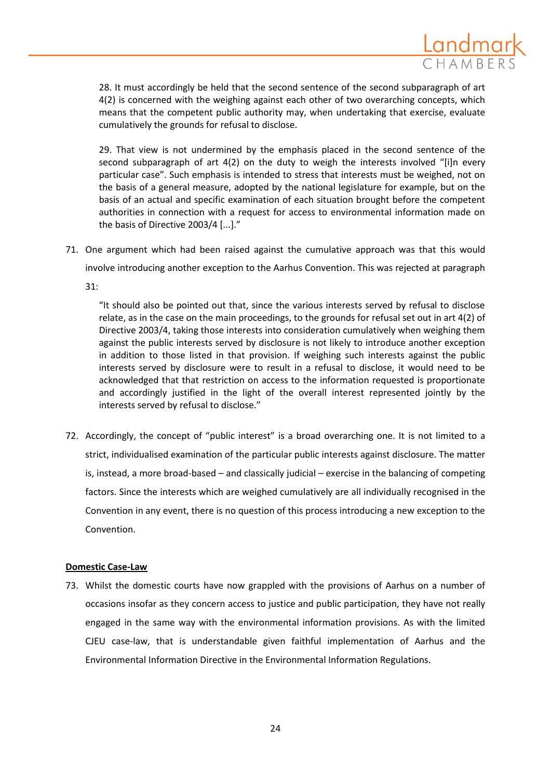

28. It must accordingly be held that the second sentence of the second subparagraph of art 4(2) is concerned with the weighing against each other of two overarching concepts, which means that the competent public authority may, when undertaking that exercise, evaluate cumulatively the grounds for refusal to disclose.

29. That view is not undermined by the emphasis placed in the second sentence of the second subparagraph of art 4(2) on the duty to weigh the interests involved "[i]n every particular case". Such emphasis is intended to stress that interests must be weighed, not on the basis of a general measure, adopted by the national legislature for example, but on the basis of an actual and specific examination of each situation brought before the competent authorities in connection with a request for access to environmental information made on the basis of Directive 2003/4 [...]."

71. One argument which had been raised against the cumulative approach was that this would involve introducing another exception to the Aarhus Convention. This was rejected at paragraph

31:

"It should also be pointed out that, since the various interests served by refusal to disclose relate, as in the case on the main proceedings, to the grounds for refusal set out in art 4(2) of Directive 2003/4, taking those interests into consideration cumulatively when weighing them against the public interests served by disclosure is not likely to introduce another exception in addition to those listed in that provision. If weighing such interests against the public interests served by disclosure were to result in a refusal to disclose, it would need to be acknowledged that that restriction on access to the information requested is proportionate and accordingly justified in the light of the overall interest represented jointly by the interests served by refusal to disclose."

72. Accordingly, the concept of "public interest" is a broad overarching one. It is not limited to a strict, individualised examination of the particular public interests against disclosure. The matter is, instead, a more broad-based – and classically judicial – exercise in the balancing of competing factors. Since the interests which are weighed cumulatively are all individually recognised in the Convention in any event, there is no question of this process introducing a new exception to the Convention.

## **Domestic Case-Law**

73. Whilst the domestic courts have now grappled with the provisions of Aarhus on a number of occasions insofar as they concern access to justice and public participation, they have not really engaged in the same way with the environmental information provisions. As with the limited CJEU case-law, that is understandable given faithful implementation of Aarhus and the Environmental Information Directive in the Environmental Information Regulations.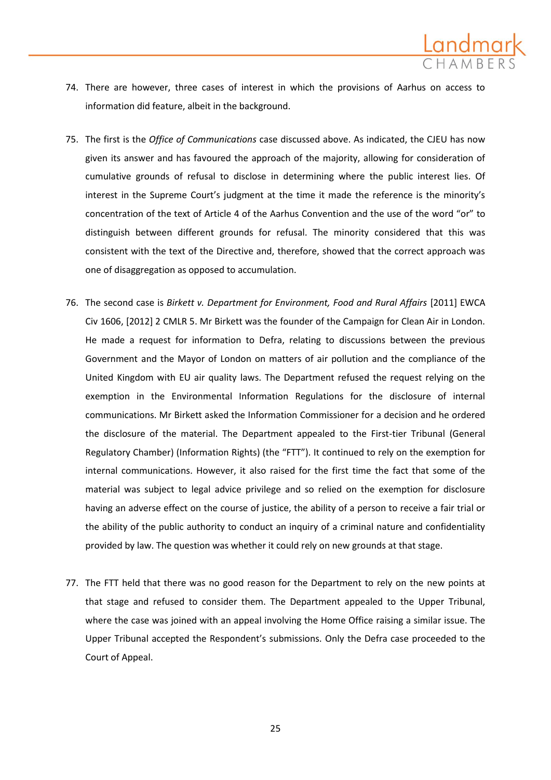

- 74. There are however, three cases of interest in which the provisions of Aarhus on access to information did feature, albeit in the background.
- 75. The first is the *Office of Communications* case discussed above. As indicated, the CJEU has now given its answer and has favoured the approach of the majority, allowing for consideration of cumulative grounds of refusal to disclose in determining where the public interest lies. Of interest in the Supreme Court's judgment at the time it made the reference is the minority's concentration of the text of Article 4 of the Aarhus Convention and the use of the word "or" to distinguish between different grounds for refusal. The minority considered that this was consistent with the text of the Directive and, therefore, showed that the correct approach was one of disaggregation as opposed to accumulation.
- 76. The second case is *Birkett v. Department for Environment, Food and Rural Affairs* [2011] EWCA Civ 1606, [2012] 2 CMLR 5. Mr Birkett was the founder of the Campaign for Clean Air in London. He made a request for information to Defra, relating to discussions between the previous Government and the Mayor of London on matters of air pollution and the compliance of the United Kingdom with EU air quality laws. The Department refused the request relying on the exemption in the Environmental Information Regulations for the disclosure of internal communications. Mr Birkett asked the Information Commissioner for a decision and he ordered the disclosure of the material. The Department appealed to the First-tier Tribunal (General Regulatory Chamber) (Information Rights) (the "FTT"). It continued to rely on the exemption for internal communications. However, it also raised for the first time the fact that some of the material was subject to legal advice privilege and so relied on the exemption for disclosure having an adverse effect on the course of justice, the ability of a person to receive a fair trial or the ability of the public authority to conduct an inquiry of a criminal nature and confidentiality provided by law. The question was whether it could rely on new grounds at that stage.
- 77. The FTT held that there was no good reason for the Department to rely on the new points at that stage and refused to consider them. The Department appealed to the Upper Tribunal, where the case was joined with an appeal involving the Home Office raising a similar issue. The Upper Tribunal accepted the Respondent's submissions. Only the Defra case proceeded to the Court of Appeal.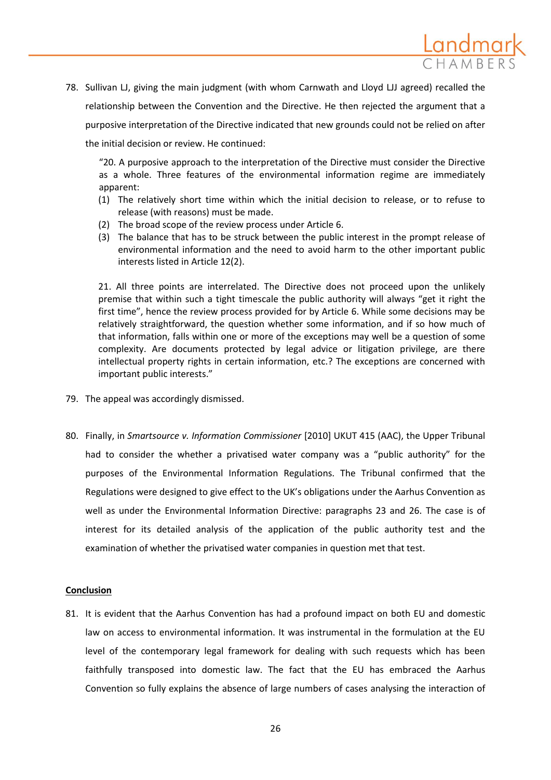

78. Sullivan LJ, giving the main judgment (with whom Carnwath and Lloyd LJJ agreed) recalled the relationship between the Convention and the Directive. He then rejected the argument that a purposive interpretation of the Directive indicated that new grounds could not be relied on after the initial decision or review. He continued:

"20. A purposive approach to the interpretation of the Directive must consider the Directive as a whole. Three features of the environmental information regime are immediately apparent:

- (1) The relatively short time within which the initial decision to release, or to refuse to release (with reasons) must be made.
- (2) The broad scope of the review process under Article 6.
- (3) The balance that has to be struck between the public interest in the prompt release of environmental information and the need to avoid harm to the other important public interests listed in Article 12(2).

21. All three points are interrelated. The Directive does not proceed upon the unlikely premise that within such a tight timescale the public authority will always "get it right the first time", hence the review process provided for by Article 6. While some decisions may be relatively straightforward, the question whether some information, and if so how much of that information, falls within one or more of the exceptions may well be a question of some complexity. Are documents protected by legal advice or litigation privilege, are there intellectual property rights in certain information, etc.? The exceptions are concerned with important public interests."

- 79. The appeal was accordingly dismissed.
- 80. Finally, in *Smartsource v. Information Commissioner* [2010] UKUT 415 (AAC), the Upper Tribunal had to consider the whether a privatised water company was a "public authority" for the purposes of the Environmental Information Regulations. The Tribunal confirmed that the Regulations were designed to give effect to the UK's obligations under the Aarhus Convention as well as under the Environmental Information Directive: paragraphs 23 and 26. The case is of interest for its detailed analysis of the application of the public authority test and the examination of whether the privatised water companies in question met that test.

## **Conclusion**

81. It is evident that the Aarhus Convention has had a profound impact on both EU and domestic law on access to environmental information. It was instrumental in the formulation at the EU level of the contemporary legal framework for dealing with such requests which has been faithfully transposed into domestic law. The fact that the EU has embraced the Aarhus Convention so fully explains the absence of large numbers of cases analysing the interaction of